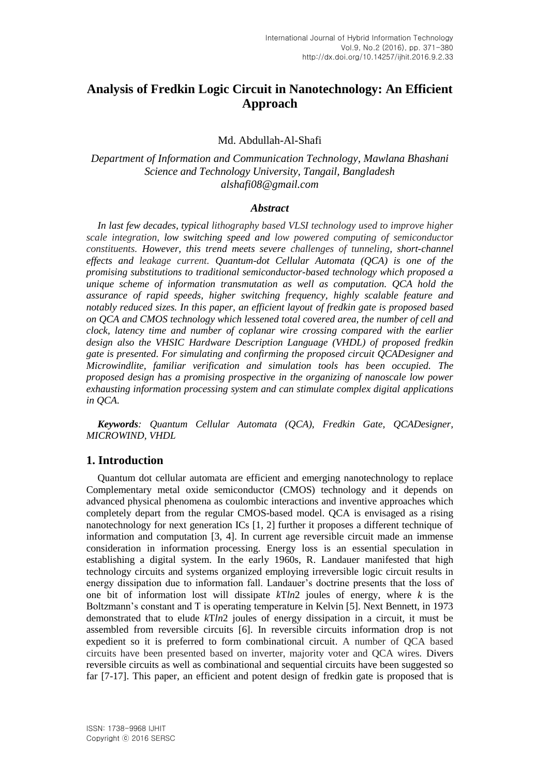# **Analysis of Fredkin Logic Circuit in Nanotechnology: An Efficient Approach**

### Md. Abdullah-Al-Shafi

# *Department of Information and Communication Technology, Mawlana Bhashani Science and Technology University, Tangail, Bangladesh alshafi08@gmail.com*

#### *Abstract*

*In last few decades, typical lithography based VLSI technology used to improve higher scale integration, low switching speed and low powered computing of semiconductor constituents. However, this trend meets severe challenges of tunneling, short-channel effects and leakage current. Quantum-dot Cellular Automata (QCA) is one of the promising substitutions to traditional semiconductor-based technology which proposed a unique scheme of information transmutation as well as computation. QCA hold the assurance of rapid speeds, higher switching frequency, highly scalable feature and notably reduced sizes. In this paper, an efficient layout of fredkin gate is proposed based on QCA and CMOS technology which lessened total covered area, the number of cell and clock, latency time and number of coplanar wire crossing compared with the earlier design also the [VHSIC](https://en.wikipedia.org/wiki/VHSIC) Hardware Description Language (VHDL) of proposed fredkin gate is presented. For simulating and confirming the proposed circuit QCADesigner and Microwindlite, familiar verification and simulation tools has been occupied. The proposed design has a promising prospective in the organizing of nanoscale low power exhausting information processing system and can stimulate complex digital applications in QCA.*

*Keywords: Quantum Cellular Automata (QCA), Fredkin Gate, QCADesigner, MICROWIND, VHDL*

## **1. Introduction**

Quantum dot cellular automata are efficient and emerging nanotechnology to replace Complementary metal oxide semiconductor (CMOS) technology and it depends on advanced physical phenomena as coulombic interactions and inventive approaches which completely depart from the regular CMOS-based model. QCA is envisaged as a rising nanotechnology for next generation ICs [1, 2] further it proposes a different technique of information and computation [3, 4]. In current age reversible circuit made an immense consideration in information processing. Energy loss is an essential speculation in establishing a digital system. In the early 1960s, R. Landauer manifested that high technology circuits and systems organized employing irreversible logic circuit results in energy dissipation due to information fall. Landauer's doctrine presents that the loss of one bit of information lost will dissipate *k*T*ln*2 joules of energy, where *k* is the Boltzmann's constant and T is operating temperature in Kelvin [5]. Next Bennett, in 1973 demonstrated that to elude *k*T*ln*2 joules of energy dissipation in a circuit, it must be assembled from reversible circuits [6]. In reversible circuits information drop is not expedient so it is preferred to form combinational circuit. A number of QCA based circuits have been presented based on inverter, majority voter and QCA wires. Divers reversible circuits as well as combinational and sequential circuits have been suggested so far [7-17]. This paper, an efficient and potent design of fredkin gate is proposed that is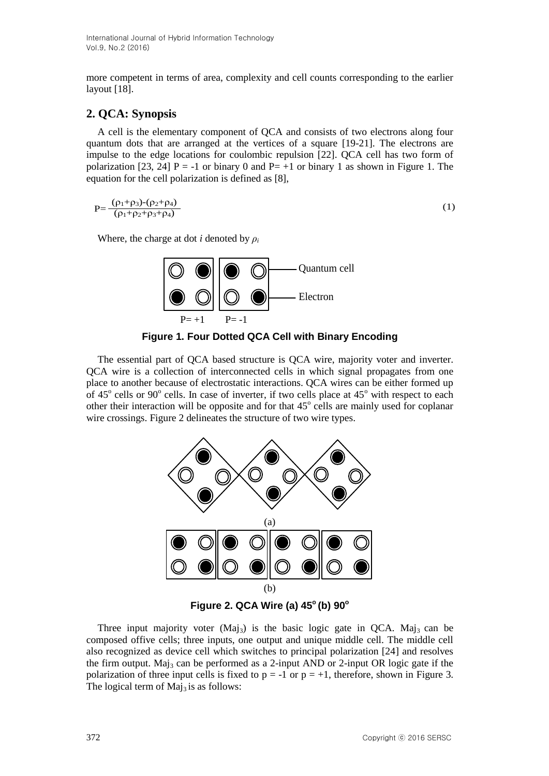more competent in terms of area, complexity and cell counts corresponding to the earlier layout [18].

# **2. QCA: Synopsis**

A cell is the elementary component of QCA and consists of two electrons along four quantum dots that are arranged at the vertices of a square [19-21]. The electrons are impulse to the edge locations for coulombic repulsion [22]. QCA cell has two form of polarization [23, 24] P = -1 or binary 0 and P = +1 or binary 1 as shown in Figure 1. The equation for the cell polarization is defined as [8],

$$
P = \frac{(\rho_1 + \rho_3) - (\rho_2 + \rho_4)}{(\rho_1 + \rho_2 + \rho_3 + \rho_4)}
$$
 (1)

Where, the charge at dot *i* denoted by  $\rho_i$ 





The essential part of QCA based structure is QCA wire, majority voter and inverter. QCA wire is a collection of interconnected cells in which signal propagates from one place to another because of electrostatic interactions. QCA wires can be either formed up of  $45^{\circ}$  cells or  $90^{\circ}$  cells. In case of inverter, if two cells place at  $45^{\circ}$  with respect to each other their interaction will be opposite and for that  $45^{\circ}$  cells are mainly used for coplanar wire crossings. Figure 2 delineates the structure of two wire types.



**Figure 2. QCA Wire (a) 45<sup>o</sup>(b) 90<sup>o</sup>**

Three input majority voter  $(Ma<sub>13</sub>)$  is the basic logic gate in QCA. Maj<sub>3</sub> can be composed offive cells; three inputs, one output and unique middle cell. The middle cell also recognized as device cell which switches to principal polarization [24] and resolves the firm output. Maj<sub>3</sub> can be performed as a 2-input AND or 2-input OR logic gate if the polarization of three input cells is fixed to  $p = -1$  or  $p = +1$ , therefore, shown in Figure 3. The logical term of  $Maj<sub>3</sub>$  is as follows: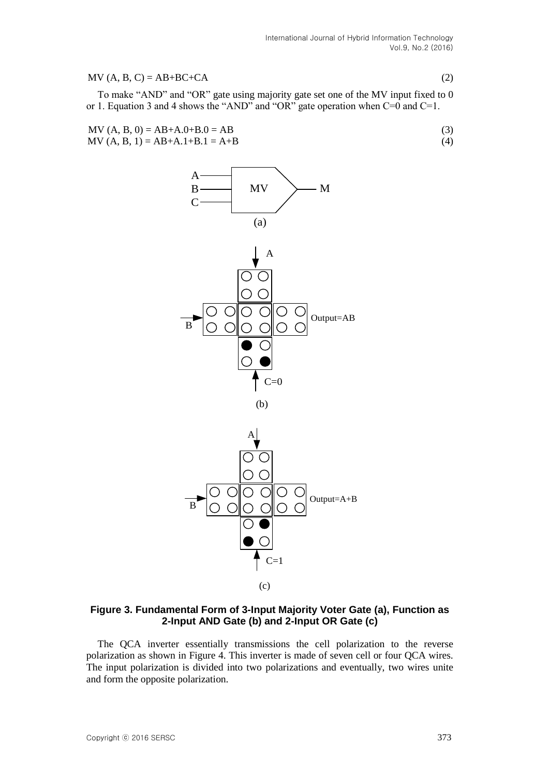#### $MV (A, B, C) = AB + BC + CA$  (2)

To make "AND" and "OR" gate using majority gate set one of the MV input fixed to 0 or 1. Equation 3 and 4 shows the "AND" and "OR" gate operation when C=0 and C=1.

MV (A, B, 0) = AB+A.0+B.0 = AB (3) MV (A, B, 1) = AB+A.1+B.1 = A+B (4)



### **Figure 3. Fundamental Form of 3-Input Majority Voter Gate (a), Function as 2-Input AND Gate (b) and 2-Input OR Gate (c)**

The QCA inverter essentially transmissions the cell polarization to the reverse polarization as shown in Figure 4. This inverter is made of seven cell or four QCA wires. The input polarization is divided into two polarizations and eventually, two wires unite and form the opposite polarization.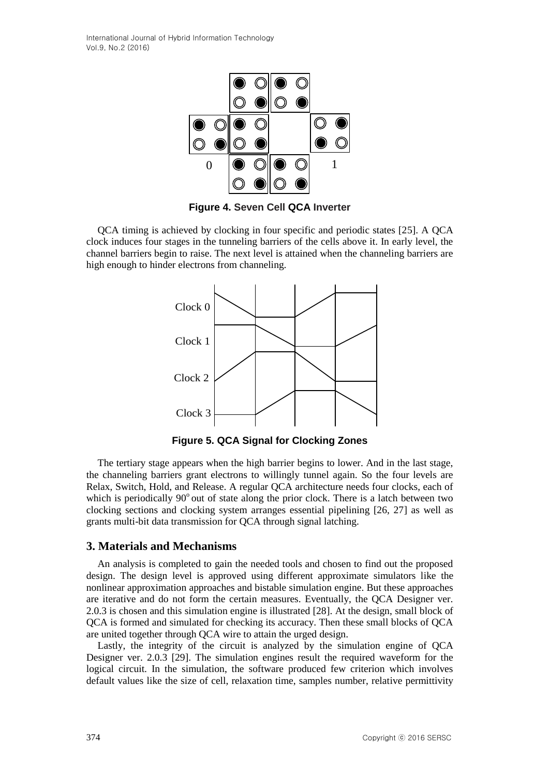International Journal of Hybrid Information Technology Vol.9, No.2 (2016)





QCA timing is achieved by clocking in four specific and periodic states [25]. A QCA clock induces four stages in the tunneling barriers of the cells above it. In early level, the channel barriers begin to raise. The next level is attained when the channeling barriers are high enough to hinder electrons from channeling.



**Figure 5. QCA Signal for Clocking Zones**

The tertiary stage appears when the high barrier begins to lower. And in the last stage, the channeling barriers grant electrons to willingly tunnel again. So the four levels are Relax, Switch, Hold, and Release. A regular QCA architecture needs four clocks, each of which is periodically  $90^{\circ}$  out of state along the prior clock. There is a latch between two clocking sections and clocking system arranges essential pipelining [26, 27] as well as grants multi-bit data transmission for QCA through signal latching.

### **3. Materials and Mechanisms**

An analysis is completed to gain the needed tools and chosen to find out the proposed design. The design level is approved using different approximate simulators like the nonlinear approximation approaches and bistable simulation engine. But these approaches are iterative and do not form the certain measures. Eventually, the QCA Designer ver. 2.0.3 is chosen and this simulation engine is illustrated [28]. At the design, small block of QCA is formed and simulated for checking its accuracy. Then these small blocks of QCA are united together through QCA wire to attain the urged design.

Lastly, the integrity of the circuit is analyzed by the simulation engine of QCA Designer ver. 2.0.3 [29]. The simulation engines result the required waveform for the logical circuit. In the simulation, the software produced few criterion which involves default values like the size of cell, relaxation time, samples number, relative permittivity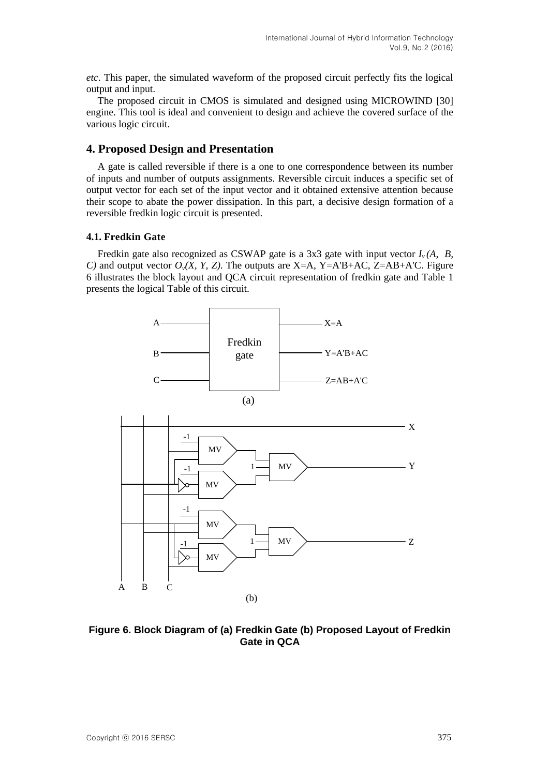*etc*. This paper, the simulated waveform of the proposed circuit perfectly fits the logical output and input.

The proposed circuit in CMOS is simulated and designed using MICROWIND [30] engine. This tool is ideal and convenient to design and achieve the covered surface of the various logic circuit.

# **4. Proposed Design and Presentation**

A gate is called reversible if there is a one to one correspondence between its number of inputs and number of outputs assignments. Reversible circuit induces a specific set of output vector for each set of the input vector and it obtained extensive attention because their scope to abate the power dissipation. In this part, a decisive design formation of a reversible fredkin logic circuit is presented.

### **4.1. Fredkin Gate**

Fredkin gate also recognized as CSWAP gate is a 3x3 gate with input vector  $I_v(A, B, B)$ *C)* and output vector  $O_v(X, Y, Z)$ . The outputs are X=A, Y=A'B+AC, Z=AB+A'C. Figure 6 illustrates the block layout and QCA circuit representation of fredkin gate and Table 1 presents the logical Table of this circuit.



**Figure 6. Block Diagram of (a) Fredkin Gate (b) Proposed Layout of Fredkin Gate in QCA**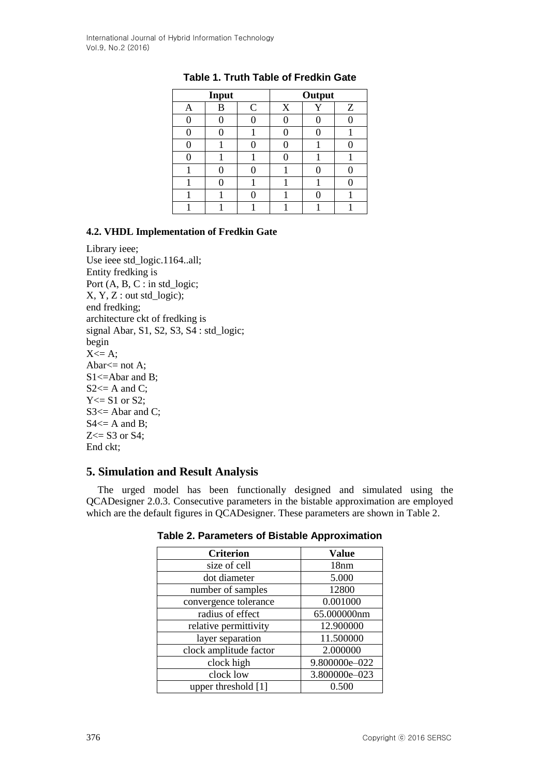| Input |   |             | Output |  |   |
|-------|---|-------------|--------|--|---|
| Α     | В | $\mathbf C$ | X      |  | Z |
|       |   |             |        |  |   |
|       |   |             |        |  |   |
|       |   |             |        |  |   |
|       |   |             |        |  |   |
|       |   |             |        |  |   |
|       |   |             |        |  |   |
|       |   |             |        |  |   |
|       |   |             |        |  |   |

# **Table 1. Truth Table of Fredkin Gate**

## **4.2. VHDL Implementation of Fredkin Gate**

Library ieee; Use ieee std\_logic.1164..all; Entity fredking is Port (A, B, C : in std\_logic; X, Y, Z : out std\_logic); end fredking; architecture ckt of fredking is signal Abar, S1, S2, S3, S4 : std\_logic; begin  $X \leq A$ ; Abar $<=$  not A; S1<=Abar and B;  $S2 \leq A$  and C;  $Y \le S1$  or S2: S3 <= Abar and C;  $S4 \leq A$  and B;  $Z \leq S3$  or  $S4$ ; End ckt;

# **5. Simulation and Result Analysis**

The urged model has been functionally designed and simulated using the QCADesigner 2.0.3. Consecutive parameters in the bistable approximation are employed which are the default figures in QCADesigner. These parameters are shown in Table 2.

| <b>Criterion</b>       | <b>Value</b>  |
|------------------------|---------------|
| size of cell           | 18nm          |
| dot diameter           | 5.000         |
| number of samples      | 12800         |
| convergence tolerance  | 0.001000      |
| radius of effect       | 65.000000nm   |
| relative permittivity  | 12.900000     |
| layer separation       | 11.500000     |
| clock amplitude factor | 2.000000      |
| clock high             | 9.800000e-022 |
| clock low              | 3.800000e-023 |
| upper threshold [1]    | 0.500         |

**Table 2. Parameters of Bistable Approximation**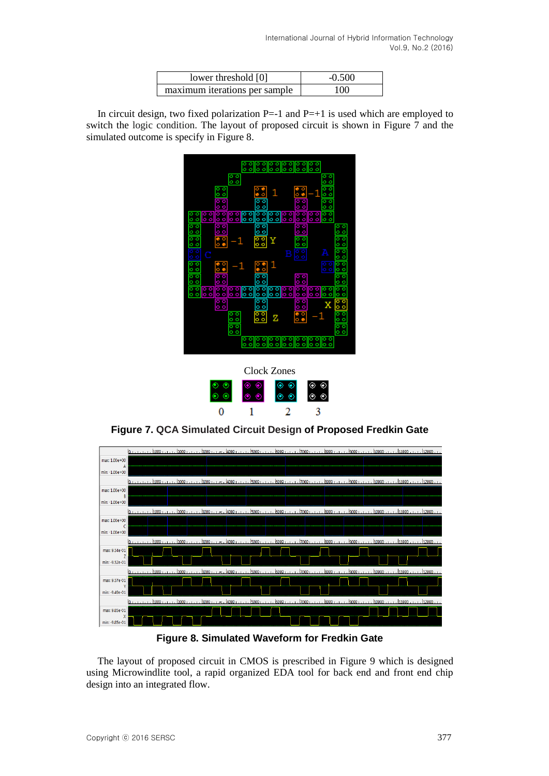| lower threshold [0]           | $-0.500$ |
|-------------------------------|----------|
| maximum iterations per sample | 100      |

In circuit design, two fixed polarization  $P=-1$  and  $P=+1$  is used which are employed to switch the logic condition. The layout of proposed circuit is shown in Figure 7 and the simulated outcome is specify in Figure 8.





**Figure 7. QCA Simulated Circuit Design of Proposed Fredkin Gate**



**Figure 8. Simulated Waveform for Fredkin Gate**

The layout of proposed circuit in CMOS is prescribed in Figure 9 which is designed using Microwindlite tool, a rapid organized EDA tool for back end and front end chip design into an integrated flow.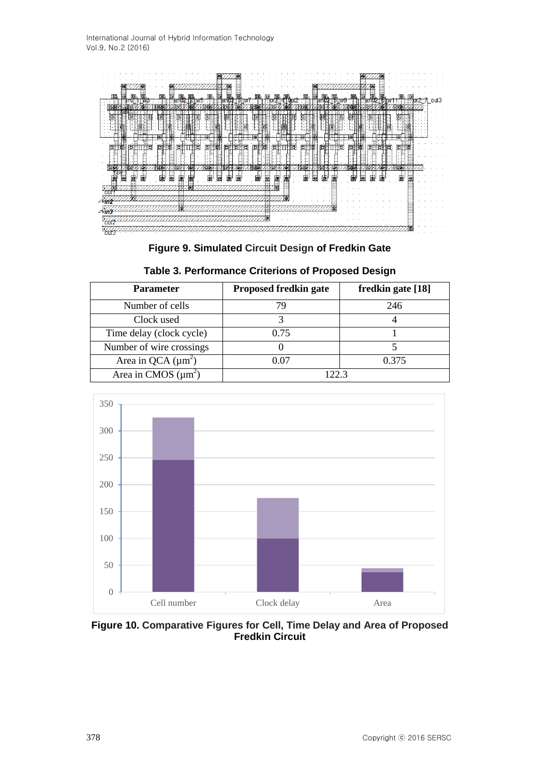International Journal of Hybrid Information Technology Vol.9, No.2 (2016)



**Figure 9. Simulated Circuit Design of Fredkin Gate**

| <b>Parameter</b>         | <b>Proposed fredkin gate</b> | fredkin gate [18] |  |
|--------------------------|------------------------------|-------------------|--|
| Number of cells          |                              | 246               |  |
| Clock used               |                              |                   |  |
| Time delay (clock cycle) | 0.75                         |                   |  |
| Number of wire crossings |                              |                   |  |
| Area in QCA $(\mu m^2)$  | 0.07                         | 0.375             |  |
| Area in CMOS $(\mu m^2)$ | 1223                         |                   |  |

**Table 3. Performance Criterions of Proposed Design**



**Figure 10. Comparative Figures for Cell, Time Delay and Area of Proposed Fredkin Circuit**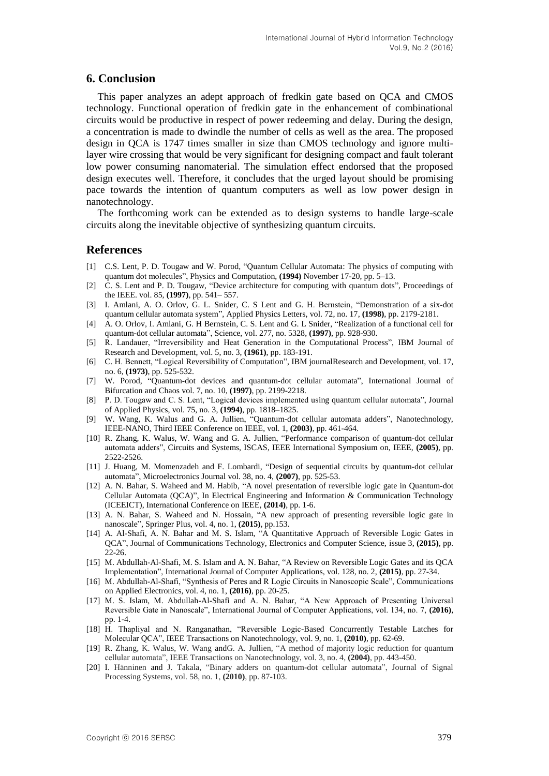### **6. Conclusion**

This paper analyzes an adept approach of fredkin gate based on QCA and CMOS technology. Functional operation of fredkin gate in the enhancement of combinational circuits would be productive in respect of power redeeming and delay. During the design, a concentration is made to dwindle the number of cells as well as the area. The proposed design in QCA is 1747 times smaller in size than CMOS technology and ignore multilayer wire crossing that would be very significant for designing compact and fault tolerant low power consuming nanomaterial. The simulation effect endorsed that the proposed design executes well. Therefore, it concludes that the urged layout should be promising pace towards the intention of quantum computers as well as low power design in nanotechnology.

The forthcoming work can be extended as to design systems to handle large-scale circuits along the inevitable objective of synthesizing quantum circuits.

### **References**

- [1] C.S. Lent, P. D. Tougaw and W. Porod, "Quantum Cellular Automata: The physics of computing with quantum dot molecules", Physics and Computation, **(1994)** November 17-20, pp. 5–13.
- [2] C. S. Lent and P. D. Tougaw, "Device architecture for computing with quantum dots", Proceedings of the IEEE. vol. 85, **(1997)**, pp. 541– 557.
- [3] I. Amlani, A. O. Orlov, G. L. Snider, C. S Lent and G. H. Bernstein, "Demonstration of a six-dot quantum cellular automata system", Applied Physics Letters, vol. 72, no. 17, **(1998)**, pp. 2179-2181.
- [4] A. O. Orlov, I. Amlani, G. H Bernstein, C. S. Lent and G. L Snider, "Realization of a functional cell for quantum-dot cellular automata", Science, vol. 277, no. 5328, **(1997)**, pp. 928-930.
- [5] R. Landauer, "Irreversibility and Heat Generation in the Computational Process", IBM Journal of Research and Development, vol. 5, no. 3, **(1961)**, pp. 183-191.
- [6] C. H. Bennett, "Logical Reversibility of Computation", IBM journalResearch and Development, vol. 17, no. 6, **(1973)**, pp. 525-532.
- [7] W. Porod, "Quantum-dot devices and quantum-dot cellular automata", International Journal of Bifurcation and Chaos vol. 7, no. 10, **(1997)**, pp. 2199-2218.
- [8] P. D. Tougaw and C. S. Lent, "Logical devices implemented using quantum cellular automata", Journal of Applied Physics, vol. 75, no. 3, **(1994)**, pp. 1818–1825.
- [9] W. Wang, K. Walus and G. A. Jullien, "Quantum-dot cellular automata adders", Nanotechnology, IEEE-NANO, Third IEEE Conference on IEEE, vol. 1, **(2003)**, pp. 461-464.
- [10] R. Zhang, K. Walus, W. Wang and G. A. Jullien, "Performance comparison of quantum-dot cellular automata adders", Circuits and Systems, ISCAS, IEEE International Symposium on, IEEE, **(2005)**, pp. 2522-2526.
- [11] J. Huang, M. Momenzadeh and F. Lombardi, "Design of sequential circuits by quantum-dot cellular automata", Microelectronics Journal vol. 38, no. 4, **(2007)**, pp. 525-53.
- [12] A. N. Bahar, S. Waheed and M. Habib, "A novel presentation of reversible logic gate in Quantum-dot Cellular Automata (QCA)", In Electrical Engineering and Information & Communication Technology (ICEEICT), International Conference on IEEE, **(2014)**, pp. 1-6.
- [13] A. N. Bahar, S. Waheed and N. Hossain, "A new approach of presenting reversible logic gate in nanoscale", Springer Plus, vol. 4, no. 1, **(2015)**, pp.153.
- [14] A. Al-Shafi, A. N. Bahar and M. S. Islam, "A Quantitative Approach of Reversible Logic Gates in QCA", Journal of Communications Technology, Electronics and Computer Science, issue 3, **(2015)**, pp. 22-26.
- [15] M. Abdullah-Al-Shafi, M. S. Islam and A. N. Bahar, "A Review on Reversible Logic Gates and its QCA Implementation", International Journal of Computer Applications, vol. 128, no. 2, **(2015)**, pp. 27-34.
- [16] M. Abdullah-Al-Shafi, "Synthesis of Peres and R Logic Circuits in Nanoscopic Scale", Communications on Applied Electronics, vol. 4, no. 1, **(2016)**, pp. 20-25.
- [17] M. S. Islam, M. Abdullah-Al-Shafi and A. N. Bahar, "A New Approach of Presenting Universal Reversible Gate in Nanoscale", International Journal of Computer Applications, vol. 134, no. 7, **(2016)**, pp. 1-4.
- [18] H. Thapliyal and N. Ranganathan, "Reversible Logic-Based Concurrently Testable Latches for Molecular QCA", IEEE Transactions on Nanotechnology, vol. 9, no. 1, **(2010)**, pp. 62-69.
- [19] R. Zhang, K. Walus, W. Wang andG. A. Jullien, "A method of majority logic reduction for quantum cellular automata", IEEE Transactions on Nanotechnology, vol. 3, no. 4, **(2004)**, pp. 443-450.
- [20] I. Hänninen and J. Takala, "Binary adders on quantum-dot cellular automata", Journal of Signal Processing Systems, vol. 58, no. 1, **(2010)**, pp. 87-103.